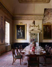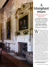

## A triumphant return

*St Giles House, Dorset, part II The Seat of the Earl of Shaftesbury*

An acclaimed restoration has brought an outstanding house back to life. In the second of two articles, John Martin Robinson explains this achievement Photographs by Paul Highnam

When COUNTRY LIFE last covered St Giles House, in 1943, it was the home of the 9th Earl of Shaftesbury and seemed a survival from a vanished world. ered St Giles House, in 1943, it was the home of the 9th Earl of Shaftesbury and The Earl, Lord Chamberlain to Queen Mary, had inherited the estate in 1886, married a Grosvenor and carried out works of enhancement to the house before the First World War, including creation of a small private chapel by Ninian Comper and the construction of a new formal garden. He had also redecorated the interior and displayed its contents to fine effect.

The photographs show the rooms with all their splendid Georgian furniture intact and seemingly with an air of Edwardian well-being still pervading. In fact, the house was occupied for the war by a girls' school, Miss Faunt's Academy from London. Lord Shaftesbury was serving in the Home Guard and the family only lived in a small portion. The prospect seemed bleak. He wrote in his notebook: 'What is to become of the old family house where successive generations have lived so long is impossible to foretell.'

➢ in.' Nevertheless, he soldiered on alone and After the war, like many of his generation, he found it difficult to manage the place with little or no staff: 'Domestic servants are practically unobtainable. Girls nowadays will not have anything to say to domestic service and footmen no longer exist—with the result that these large houses are no longer practical propositions to live

*Fig 1:* **The restored dining room turns the scars of the dry rot to good effect**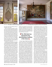

*Fig 2 above:* **The outline of a mirror of the dining room wall.** *Fig 3 above right:* **The Tapestry Room hung with its recently-restored tapestries**

the main rooms were regularly opened to the public in the 1950s.

When the 9th Earl died, aged 91, in 1961, he was succeeded by his grandson Anthony, then only 23, fresh from Eton and Oxford. He had a strong interest in music and was chairman of the London Philharmonic Orchestra for 25 years. He was also a strong conservationist and planted more than a million trees on the estate. Despite a great love for St Giles, however, he was daunted by the deteriorating condition and unwieldy scale of the house. As a result, he never lived in the building. Instead, the Dower House in the village became the family home, with the big house shuttered and disused for 50 years apart from the estate office at the back.

Nevertheless, around the time of his marriage to Christiana Montan (a diplomat's daughter) and the subsequent birth of two sons, Shaftesbury started to plan to restore the place and to adapt it for modern family living. The aim was to reduce St Giles to its historic core by demolishing the western service wings and Victorian entrance tower. The Classical 17thcentury and Georgian character was to be restored by stripping cement render from the brickwork and removing mid-19th-century bay windows from the south front, as well as cutting out dry rot. The works were begun in 1971 and continued for several years.

Sales of furniture, paintings and works of art in June 1980 helped pay for this work, but the project proved too ambitious, faltered and then the restoration stopped. Shaftesbury moved abroad in 2000 where he was murdered in the South of France four years later. This family tragedy was compounded soon afterwards by the sudden death of his eldest son, Anthony, from a heart attack at the age of 27. His younger brother, Nicholas, was working as a DJ in New York at the time. Suddenly, he found himself the 12th Earl of Shaftesbury and, as he put it himself, he had 'to step up to the plate'. The terrible circumstances strengthened his determination to save St Giles and to finish the job his father had started.

## The 10th Earl was<br>daunted by the<br>deteriorating condition **6**The 10th Earl was daunted by the of the house  $\overline{\text{ }}$

He came back to England and enrolled to study for a MBA at the London Business School, ready to take on the management of the estate. He married in 2010 and, the following year, he and his new wife, Dinah, moved into the old south-west family apartment, installing a modern kitchen. From this foothold, they embarked on a four-year restoration of the whole building that has already been acclaimed and deservedly won the whole gamut of conservation prizes in 2015: the R.I.C.S. National Building Construction Award, the HHA/Sothebys Award, the Georgian Group Award and the Historic England Angels Award. All these cited not just the heroic character of the programme and excellent craftsmanship expended, but also the sensitivity to the character of the place with which the work has been carried out.

Philip Hughes, a specialist conservation surveyor who had been a SPAB Scholar, has overseen the work and the principal contractor was Ellis & Co, a leading traditional West Country building firm. The development of the proposals was a joint effort between the Shaftesburys and their team and the scheme has been a very personal one. Great efforts have been taken not to dissipate the romantic, fragile quality of the place; old paint surfaces and old wallpaper have been retained in several areas and some of the 1970s stripping-back has been left to show old structural fabric behind. This type of conservation approach can seem mannered, but not here, where the touch is sure and the overall visual impact aesthetically harmonious as well as historically literate.

The connection of Mr Hughes with St Giles goes back to 2003, when the family trustees employed him to prepare a detailed condition report and undertake emergency repairs to the fabric in collaboration with English Heritage. At that time, Suzie Barson and John Cattell of English Heritage (now Historic England) also prepared a report on St Giles based on archival research and detailed study of the structural fabric, the latter made possible by the partial stripping of the interior. As well as providing a scholarly underpinning for the restoration, this also garnered new information about the history of the house, as was discussed last week.

The work, carried out between 2011 and 2015, comprised a series of overlapping projects. First was the need to make the build ing weatherproof. The mid-Victorian roof structure was on the point of collapse, with rotted beams and joists, and had been weakened by the removal of all the internal partitions during the 1970s work, leaving one large U-shaped open space at the top of the house. Steel girders were inserted to strengthen the retained old structure. All the outer slopes have been re-slated and lead flats renewed. The new gutter and pipes have lead rainwater hoppers made